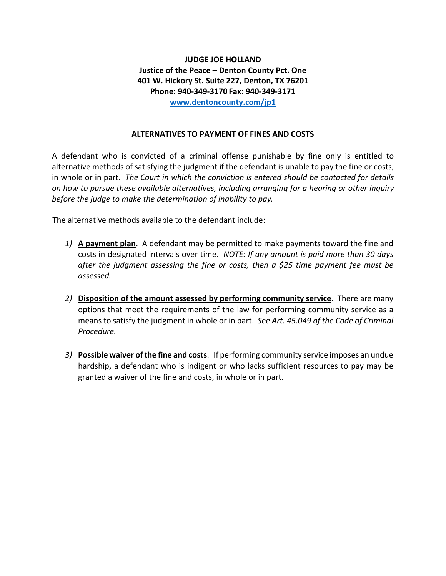**JUDGE JOE HOLLAND Justice of the Peace – Denton County Pct. One 401 W. Hickory St. Suite 227, Denton, TX 76201 Phone: 940-349-3170 Fax: 940-349-3171 [www.dentoncounty.com/jp1](http://www.dentoncounty.com/jp1)**

## **ALTERNATIVES TO PAYMENT OF FINES AND COSTS**

A defendant who is convicted of a criminal offense punishable by fine only is entitled to alternative methods of satisfying the judgment if the defendant is unable to pay the fine or costs, in whole or in part. *The Court in which the conviction is entered should be contacted for details on how to pursue these available alternatives, including arranging for a hearing or other inquiry before the judge to make the determination of inability to pay.*

The alternative methods available to the defendant include:

- *1)* **A payment plan**. A defendant may be permitted to make payments toward the fine and costs in designated intervals over time. *NOTE: If any amount is paid more than 30 days after the judgment assessing the fine or costs, then a \$25 time payment fee must be assessed.*
- *2)* **Disposition of the amount assessed by performing community service**. There are many options that meet the requirements of the law for performing community service as a means to satisfy the judgment in whole or in part. *See Art. 45.049 of the Code of Criminal Procedure.*
- *3)* **Possible waiver of the fine and costs**. If performing community service imposes an undue hardship, a defendant who is indigent or who lacks sufficient resources to pay may be granted a waiver of the fine and costs, in whole or in part.